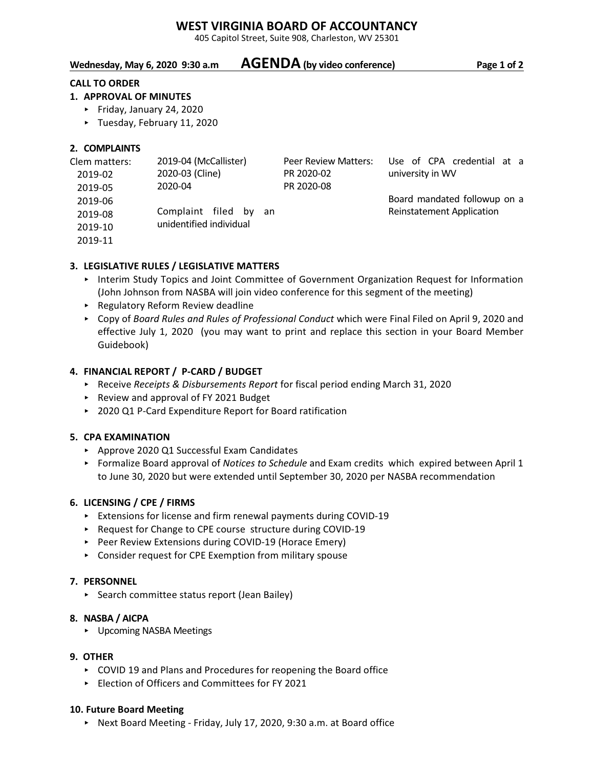# **WEST VIRGINIA BOARD OF ACCOUNTANCY**

405 Capitol Street, Suite 908, Charleston, WV 25301

# **Wednesday, May 6, 2020 9:30 a.m AGENDA (by video conference) Page 1 of 2**

#### **CALL TO ORDER**

#### **1. APPROVAL OF MINUTES**

- ► Friday, January 24, 2020
- < Tuesday, February 11, 2020

### **2. COMPLAINTS**

| Clem matters: | 2019-04 (McCallister)   | Peer Review Matters: | Use of CPA credential at a       |
|---------------|-------------------------|----------------------|----------------------------------|
| 2019-02       | 2020-03 (Cline)         | PR 2020-02           | university in WV                 |
| 2019-05       | 2020-04                 | PR 2020-08           |                                  |
| 2019-06       |                         |                      | Board mandated followup on a     |
| 2019-08       | Complaint filed by an   |                      | <b>Reinstatement Application</b> |
| 2019-10       | unidentified individual |                      |                                  |
|               |                         |                      |                                  |

2019-11

## **3. LEGISLATIVE RULES / LEGISLATIVE MATTERS**

- < Interim Study Topics and Joint Committee of Government Organization Request for Information (John Johnson from NASBA will join video conference for this segment of the meeting)
- **EXECUTE: Regulatory Reform Review deadline**
- < Copy of *Board Rules and Rules of Professional Conduct* which were Final Filed on April 9, 2020 and effective July 1, 2020 (you may want to print and replace this section in your Board Member Guidebook)

## **4. FINANCIAL REPORT / P-CARD / BUDGET**

- ▶ Receive *Receipts & Disbursements Report* for fiscal period ending March 31, 2020
- ▶ Review and approval of FY 2021 Budget
- ▶ 2020 Q1 P-Card Expenditure Report for Board ratification

#### **5. CPA EXAMINATION**

- ▶ Approve 2020 Q1 Successful Exam Candidates
- ▶ Formalize Board approval of *Notices to Schedule* and Exam credits which expired between April 1 to June 30, 2020 but were extended until September 30, 2020 per NASBA recommendation

#### **6. LICENSING / CPE / FIRMS**

- < Extensions for license and firm renewal payments during COVID-19
- ▶ Request for Change to CPE course structure during COVID-19
- ▶ Peer Review Extensions during COVID-19 (Horace Emery)
- < Consider request for CPE Exemption from military spouse

#### **7. PERSONNEL**

▶ Search committee status report (Jean Bailey)

#### **8. NASBA / AICPA**

▶ Upcoming NASBA Meetings

#### **9. OTHER**

- ► COVID 19 and Plans and Procedures for reopening the Board office
- < Election of Officers and Committees for FY 2021

#### **10. Future Board Meeting**

▶ Next Board Meeting - Friday, July 17, 2020, 9:30 a.m. at Board office